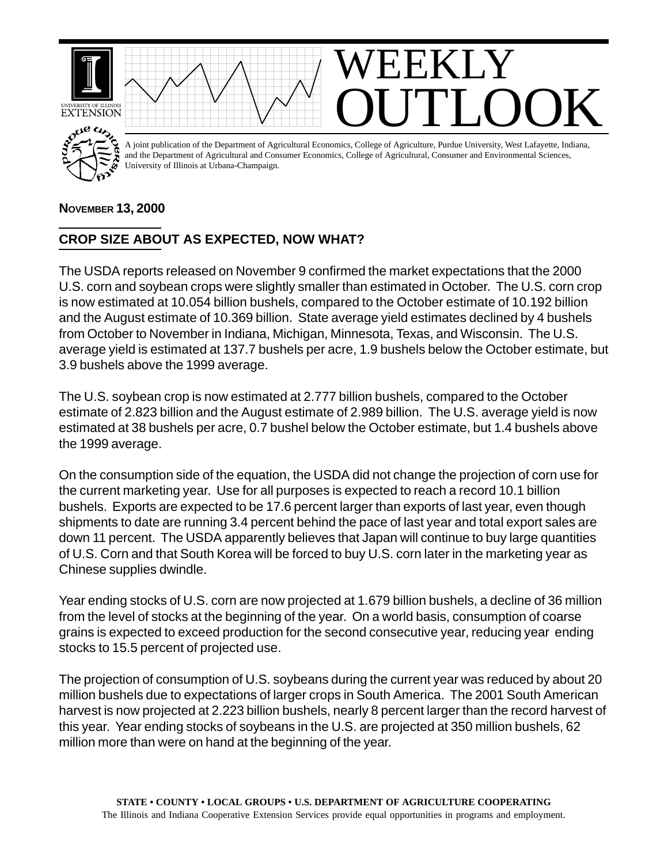

## **NOVEMBER 13, 2000**

## **CROP SIZE ABOUT AS EXPECTED, NOW WHAT?**

The USDA reports released on November 9 confirmed the market expectations that the 2000 U.S. corn and soybean crops were slightly smaller than estimated in October. The U.S. corn crop is now estimated at 10.054 billion bushels, compared to the October estimate of 10.192 billion and the August estimate of 10.369 billion. State average yield estimates declined by 4 bushels from October to November in Indiana, Michigan, Minnesota, Texas, and Wisconsin. The U.S. average yield is estimated at 137.7 bushels per acre, 1.9 bushels below the October estimate, but 3.9 bushels above the 1999 average.

The U.S. soybean crop is now estimated at 2.777 billion bushels, compared to the October estimate of 2.823 billion and the August estimate of 2.989 billion. The U.S. average yield is now estimated at 38 bushels per acre, 0.7 bushel below the October estimate, but 1.4 bushels above the 1999 average.

On the consumption side of the equation, the USDA did not change the projection of corn use for the current marketing year. Use for all purposes is expected to reach a record 10.1 billion bushels. Exports are expected to be 17.6 percent larger than exports of last year, even though shipments to date are running 3.4 percent behind the pace of last year and total export sales are down 11 percent. The USDA apparently believes that Japan will continue to buy large quantities of U.S. Corn and that South Korea will be forced to buy U.S. corn later in the marketing year as Chinese supplies dwindle.

Year ending stocks of U.S. corn are now projected at 1.679 billion bushels, a decline of 36 million from the level of stocks at the beginning of the year. On a world basis, consumption of coarse grains is expected to exceed production for the second consecutive year, reducing year ending stocks to 15.5 percent of projected use.

The projection of consumption of U.S. soybeans during the current year was reduced by about 20 million bushels due to expectations of larger crops in South America. The 2001 South American harvest is now projected at 2.223 billion bushels, nearly 8 percent larger than the record harvest of this year. Year ending stocks of soybeans in the U.S. are projected at 350 million bushels, 62 million more than were on hand at the beginning of the year.